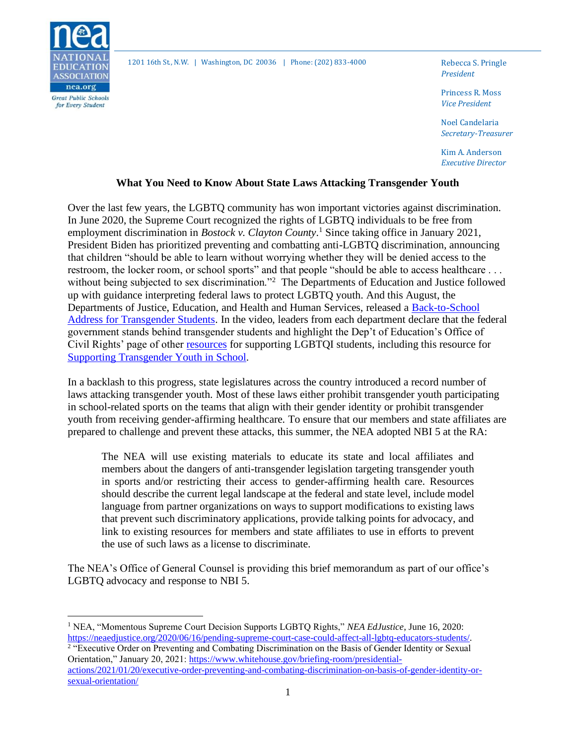

1201 16th St., N.W. | Washington, DC 20036 | Phone: (202) 833-4000 Rebecca S. Pringle

*President*

Princess R. Moss *Vice President*

Noel Candelaria *Secretary-Treasurer*

Kim A. Anderson *Executive Director*

## **What You Need to Know About State Laws Attacking Transgender Youth**

Over the last few years, the LGBTQ community has won important victories against discrimination. In June 2020, the Supreme Court recognized the rights of LGBTQ individuals to be free from employment discrimination in *Bostock v. Clayton County*. <sup>1</sup> Since taking office in January 2021, President Biden has prioritized preventing and combatting anti-LGBTQ discrimination, announcing that children "should be able to learn without worrying whether they will be denied access to the restroom, the locker room, or school sports" and that people "should be able to access healthcare . . . without being subjected to sex discrimination."<sup>2</sup> The Departments of Education and Justice followed up with guidance interpreting federal laws to protect LGBTQ youth. And this August, the Departments of Justice, Education, and Health and Human Services, released a [Back-to-School](https://www.youtube.com/watch?app=desktop&v=lGHtoBJMcgU)  [Address for Transgender Students.](https://www.youtube.com/watch?app=desktop&v=lGHtoBJMcgU) In the video, leaders from each department declare that the federal government stands behind transgender students and highlight the Dep't of Education's Office of Civil Rights' page of other [resources](https://www2.ed.gov/about/offices/list/ocr/lgbt.html) for supporting LGBTQI students, including this resource for [Supporting Transgender Youth in School.](https://www2.ed.gov/about/offices/list/ocr/docs/ed-factsheet-transgender-202106.pdf)

In a backlash to this progress, state legislatures across the country introduced a record number of laws attacking transgender youth. Most of these laws either prohibit transgender youth participating in school-related sports on the teams that align with their gender identity or prohibit transgender youth from receiving gender-affirming healthcare. To ensure that our members and state affiliates are prepared to challenge and prevent these attacks, this summer, the NEA adopted NBI 5 at the RA:

The NEA will use existing materials to educate its state and local affiliates and members about the dangers of anti-transgender legislation targeting transgender youth in sports and/or restricting their access to gender-affirming health care. Resources should describe the current legal landscape at the federal and state level, include model language from partner organizations on ways to support modifications to existing laws that prevent such discriminatory applications, provide talking points for advocacy, and link to existing resources for members and state affiliates to use in efforts to prevent the use of such laws as a license to discriminate.

The NEA's Office of General Counsel is providing this brief memorandum as part of our office's LGBTQ advocacy and response to NBI 5.

<sup>1</sup> NEA, "Momentous Supreme Court Decision Supports LGBTQ Rights," *NEA EdJustice*, June 16, 2020: [https://neaedjustice.org/2020/06/16/pending-supreme-court-case-could-affect-all-lgbtq-educators-students/.](https://neaedjustice.org/2020/06/16/pending-supreme-court-case-could-affect-all-lgbtq-educators-students/)  <sup>2</sup> "Executive Order on Preventing and Combating Discrimination on the Basis of Gender Identity or Sexual

Orientation," January 20, 2021: [https://www.whitehouse.gov/briefing-room/presidential](https://www.whitehouse.gov/briefing-room/presidential-actions/2021/01/20/executive-order-preventing-and-combating-discrimination-on-basis-of-gender-identity-or-sexual-orientation/)[actions/2021/01/20/executive-order-preventing-and-combating-discrimination-on-basis-of-gender-identity-or](https://www.whitehouse.gov/briefing-room/presidential-actions/2021/01/20/executive-order-preventing-and-combating-discrimination-on-basis-of-gender-identity-or-sexual-orientation/)[sexual-orientation/](https://www.whitehouse.gov/briefing-room/presidential-actions/2021/01/20/executive-order-preventing-and-combating-discrimination-on-basis-of-gender-identity-or-sexual-orientation/)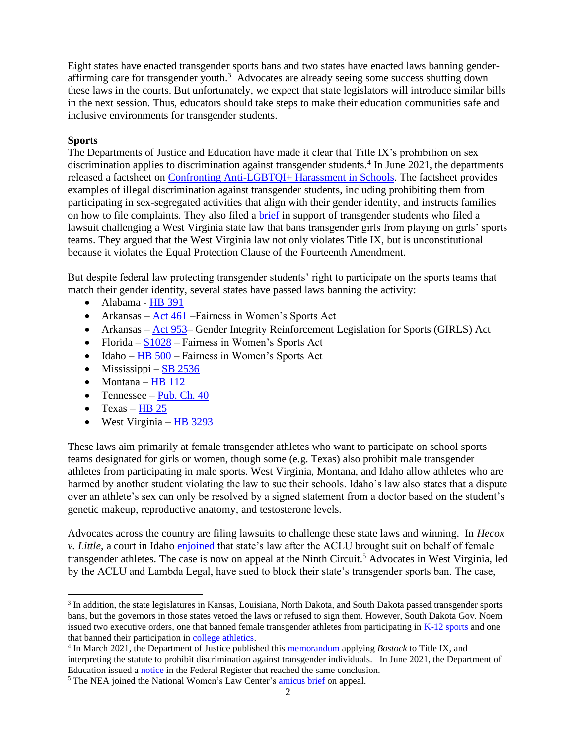Eight states have enacted transgender sports bans and two states have enacted laws banning genderaffirming care for transgender youth.<sup>3</sup> Advocates are already seeing some success shutting down these laws in the courts. But unfortunately, we expect that state legislators will introduce similar bills in the next session. Thus, educators should take steps to make their education communities safe and inclusive environments for transgender students.

### **Sports**

The Departments of Justice and Education have made it clear that Title IX's prohibition on sex discrimination applies to discrimination against transgender students.<sup>4</sup> In June 2021, the departments released a factsheet on [Confronting Anti-LGBTQI+ Harassment in Schools.](https://www2.ed.gov/about/offices/list/ocr/docs/ocr-factsheet-tix-202106.pdf) The factsheet provides examples of illegal discrimination against transgender students, including prohibiting them from participating in sex-segregated activities that align with their gender identity, and instructs families on how to file complaints. They also filed a [brief](https://www.justice.gov/crt/case-document/file/1405541/download) in support of transgender students who filed a lawsuit challenging a West Virginia state law that bans transgender girls from playing on girls' sports teams. They argued that the West Virginia law not only violates Title IX, but is unconstitutional because it violates the Equal Protection Clause of the Fourteenth Amendment.

But despite federal law protecting transgender students' right to participate on the sports teams that match their gender identity, several states have passed laws banning the activity:

- Alabama [HB 391](https://www.billtrack50.com/BillDetail/1310890)
- Arkansas Act  $461$  Fairness in Women's Sports Act
- Arkansas [Act 953–](https://www.arkleg.state.ar.us/Acts/FTPDocument?path=%2FACTS%2F2021R%2FPublic%2F&file=953.pdf&ddBienniumSession=2021%2F2021R) Gender Integrity Reinforcement Legislation for Sports (GIRLS) Act
- Florida  $S1028$  Fairness in Women's Sports Act
- Idaho  $\underline{HB}$  500 Fairness in Women's Sports Act
- Mississippi [SB 2536](http://billstatus.ls.state.ms.us/documents/2021/pdf/SB/2500-2599/SB2536SG.pdf)
- Montana  $HB$  112
- Tennessee Pub. Ch.  $40$
- Texas  $HB 25$
- West Virginia [HB 3293](http://www.wvlegislature.gov/Bill_Status/bills_text.cfm?billdoc=HB3293%20SUB%20ENR.htm&yr=2021&sesstype=RS&i=3293)

These laws aim primarily at female transgender athletes who want to participate on school sports teams designated for girls or women, though some (e.g. Texas) also prohibit male transgender athletes from participating in male sports. West Virginia, Montana, and Idaho allow athletes who are harmed by another student violating the law to sue their schools. Idaho's law also states that a dispute over an athlete's sex can only be resolved by a signed statement from a doctor based on the student's genetic makeup, reproductive anatomy, and testosterone levels.

Advocates across the country are filing lawsuits to challenge these state laws and winning. In *Hecox v. Little*, a court in Idaho [enjoined](https://www.aclu.org/sites/default/files/field_document/hecox_v_little_-_order_granding_preliminary_injunction.pdf) that state's law after the ACLU brought suit on behalf of female transgender athletes. The case is now on appeal at the Ninth Circuit.<sup>5</sup> Advocates in West Virginia, led by the ACLU and Lambda Legal, have sued to block their state's transgender sports ban. The case,

<sup>&</sup>lt;sup>3</sup> In addition, the state legislatures in Kansas, Louisiana, North Dakota, and South Dakota passed transgender sports bans, but the governors in those states vetoed the laws or refused to sign them. However, South Dakota Gov. Noem issued two executive orders, one that banned female transgender athletes from participating i[n K-12 sports](https://governor.sd.gov/doc/2021-05.pdf) and one that banned their participation in [college athletics.](https://governor.sd.gov/doc/2021-06.pdf)

<sup>4</sup> In March 2021, the Department of Justice published thi[s memorandum](https://www.justice.gov/crt/page/file/1383026/download) applying *Bostock* to Title IX, and interpreting the statute to prohibit discrimination against transgender individuals. In June 2021, the Department of Education issued [a notice](https://www.govinfo.gov/content/pkg/FR-2021-06-22/pdf/2021-13058.pdf) in the Federal Register that reached the same conclusion.

<sup>&</sup>lt;sup>5</sup> The NEA joined the National Women's Law Center's [amicus brief](https://nwlc.org/resources/hecox-v-little/) on appeal.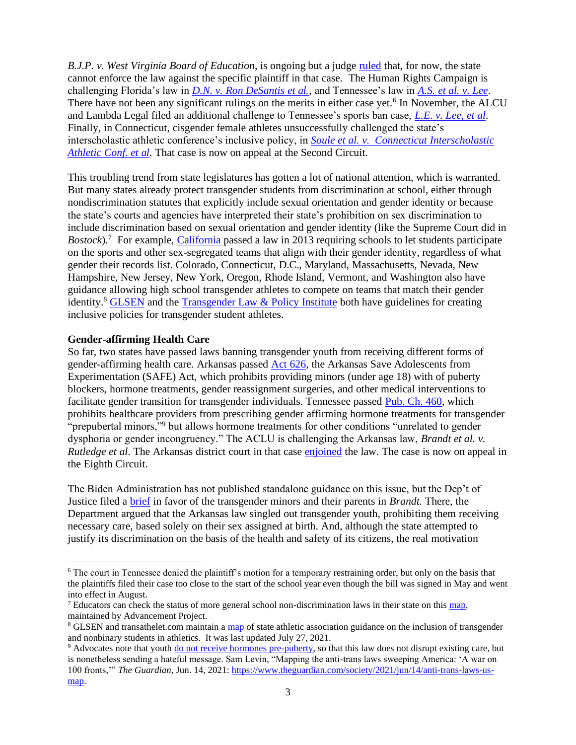*B.J.P. v. West Virginia Board of Education*, is ongoing but a judge [ruled](https://www.aclu.org/legal-document/bpj-v-west-virginia-state-board-education-order-granting-preliminary-injunction) that, for now, the state cannot enforce the law against the specific plaintiff in that case. The Human Rights Campaign is challenging Florida's law in *[D.N. v. Ron DeSantis et al.](https://hrc-prod-requests.s3-us-west-2.amazonaws.com/Litigation.pdf?mtime=20210630085703&focal=none)*, and Tennessee's law in *[A.S. et al. v. Lee](https://hrc-prod-requests.s3-us-west-2.amazonaws.com/Complaint.pdf?mtime=20210803124712&focal=none)*. There have not been any significant rulings on the merits in either case yet.<sup>6</sup> In November, the ALCU and Lambda Legal filed an additional challenge to Tennessee's sports ban case, *[L.E. v. Lee, et al](https://www.aclu-tn.org/wp-content/uploads/2021/11/Trans-Student-Athlete-Complaint-For-Filing190917273.2.pdf)*. Finally, in Connecticut, cisgender female athletes unsuccessfully challenged the state's interscholastic athletic conference's inclusive policy, in *[Soule et al. v. Connecticut Interscholastic](https://www.aclu.org/legal-document/soule-et-al-v-ct-association-schools-et-al-order-granting-motion-dismiss)  [Athletic Conf. et al.](https://www.aclu.org/legal-document/soule-et-al-v-ct-association-schools-et-al-order-granting-motion-dismiss)* That case is now on appeal at the Second Circuit.

This troubling trend from state legislatures has gotten a lot of national attention, which is warranted. But many states already protect transgender students from discrimination at school, either through nondiscrimination statutes that explicitly include sexual orientation and gender identity or because the state's courts and agencies have interpreted their state's prohibition on sex discrimination to include discrimination based on sexual orientation and gender identity (like the Supreme Court did in Bostock).<sup>7</sup> For example, [California](https://leginfo.legislature.ca.gov/faces/billNavClient.xhtml?bill_id=201320140AB1266) passed a law in 2013 requiring schools to let students participate on the sports and other sex-segregated teams that align with their gender identity, regardless of what gender their records list. Colorado, Connecticut, D.C., Maryland, Massachusetts, Nevada, New Hampshire, New Jersey, New York, Oregon, Rhode Island, Vermont, and Washington also have guidance allowing high school transgender athletes to compete on teams that match their gender identity.<sup>8</sup> [GLSEN](https://www.glsen.org/sites/default/files/2021-05/GLSEN_Transathlete_Policies_Issue_Brief-05-03-21.pdf) and the [Transgender Law & Policy Institute](https://13248aea-16f8-fc0a-cf26-a9339dd2a3f0.filesusr.com/ugd/2bc3fc_6cd03b8e19147c71c0153c81e96babcb.pdf) both have guidelines for creating inclusive policies for transgender student athletes.

#### **Gender-affirming Health Care**

So far, two states have passed laws banning transgender youth from receiving different forms of gender-affirming health care. Arkansas passed [Act 626,](https://www.arkleg.state.ar.us/Acts/FTPDocument?path=%2FACTS%2F2021R%2FPublic%2F&file=626.pdf&ddBienniumSession=2021%2F2021R) the Arkansas Save Adolescents from Experimentation (SAFE) Act, which prohibits providing minors (under age 18) with of puberty blockers, hormone treatments, gender reassignment surgeries, and other medical interventions to facilitate gender transition for transgender individuals. Tennessee passed [Pub. Ch. 460,](https://wapp.capitol.tn.gov/apps/BillInfo/Default.aspx?BillNumber=HB1027) which prohibits healthcare providers from prescribing gender affirming hormone treatments for transgender "prepubertal minors,"<sup>9</sup> but allows hormone treatments for other conditions "unrelated to gender dysphoria or gender incongruency." The ACLU is challenging the Arkansas law, *Brandt et al. v. Rutledge et al*. The Arkansas district court in that case [enjoined](https://www.aclu.org/legal-document/brandt-et-al-v-rutledge-et-al-supplemental-order) the law. The case is now on appeal in the Eighth Circuit.

The Biden Administration has not published standalone guidance on this issue, but the Dep't of Justice filed a [brief](https://www.aclu.org/legal-document/brandt-et-al-v-rutledge-et-al-doj-statement-interest) in favor of the transgender minors and their parents in *Brandt.* There, the Department argued that the Arkansas law singled out transgender youth, prohibiting them receiving necessary care, based solely on their sex assigned at birth. And, although the state attempted to justify its discrimination on the basis of the health and safety of its citizens, the real motivation

 $6$  The court in Tennessee denied the plaintiff's motion for a temporary restraining order, but only on the basis that the plaintiffs filed their case too close to the start of the school year even though the bill was signed in May and went into effect in August.

 $<sup>7</sup>$  Educators can check the status of more general school non-discrimination laws in their state on this  $\frac{map}{}$ </sup> maintained by Advancement Project.

<sup>8</sup> GLSEN and transathelet.com maintain a [map](https://www.glsen.org/policy-maps) of state athletic association guidance on the inclusion of transgender and nonbinary students in athletics. It was last updated July 27, 2021.

<sup>&</sup>lt;sup>9</sup> Advocates note that youth [do not receive hormones pre-puberty,](https://twitter.com/chasestrangio/status/1396083815353921537) so that this law does not disrupt existing care, but is nonetheless sending a hateful message. Sam Levin, "Mapping the anti-trans laws sweeping America: 'A war on 100 fronts,'" *The Guardian*, Jun. 14, 2021: [https://www.theguardian.com/society/2021/jun/14/anti-trans-laws-us](https://www.theguardian.com/society/2021/jun/14/anti-trans-laws-us-map)[map.](https://www.theguardian.com/society/2021/jun/14/anti-trans-laws-us-map)